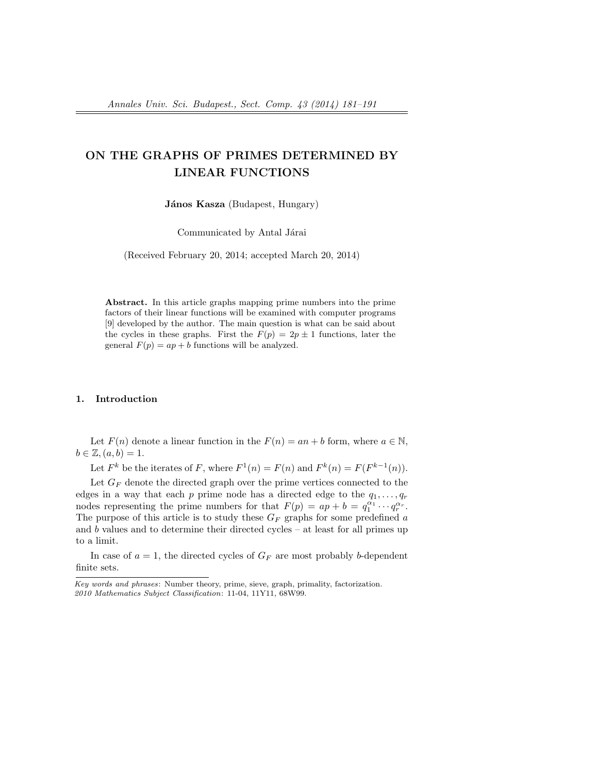# ON THE GRAPHS OF PRIMES DETERMINED BY LINEAR FUNCTIONS

János Kasza (Budapest, Hungary)

Communicated by Antal Járai

(Received February 20, 2014; accepted March 20, 2014)

Abstract. In this article graphs mapping prime numbers into the prime factors of their linear functions will be examined with computer programs [9] developed by the author. The main question is what can be said about the cycles in these graphs. First the  $F(p) = 2p \pm 1$  functions, later the general  $F(p) = ap + b$  functions will be analyzed.

#### 1. Introduction

Let  $F(n)$  denote a linear function in the  $F(n) = an + b$  form, where  $a \in \mathbb{N}$ ,  $b \in \mathbb{Z}, (a, b) = 1.$ 

Let  $F^k$  be the iterates of F, where  $F^1(n) = F(n)$  and  $F^k(n) = F(F^{k-1}(n))$ .

Let  $G_F$  denote the directed graph over the prime vertices connected to the edges in a way that each p prime node has a directed edge to the  $q_1, \ldots, q_r$ nodes representing the prime numbers for that  $F(p) = ap + b = q_1^{\alpha_1} \cdots q_r^{\alpha_r}$ . The purpose of this article is to study these  $G_F$  graphs for some predefined a and  $b$  values and to determine their directed cycles – at least for all primes up to a limit.

In case of  $a = 1$ , the directed cycles of  $G_F$  are most probably b-dependent finite sets.

Key words and phrases: Number theory, prime, sieve, graph, primality, factorization. 2010 Mathematics Subject Classification: 11-04, 11Y11, 68W99.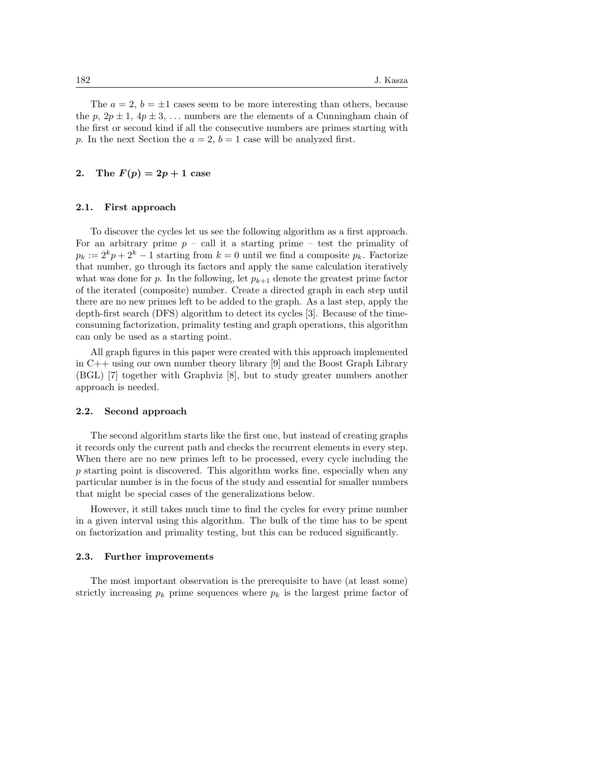The  $a = 2$ ,  $b = \pm 1$  cases seem to be more interesting than others, because the p,  $2p \pm 1$ ,  $4p \pm 3$ , ... numbers are the elements of a Cunningham chain of the first or second kind if all the consecutive numbers are primes starting with p. In the next Section the  $a = 2$ ,  $b = 1$  case will be analyzed first.

### 2. The  $F(p) = 2p + 1$  case

#### 2.1. First approach

To discover the cycles let us see the following algorithm as a first approach. For an arbitrary prime  $p -$  call it a starting prime – test the primality of  $p_k := 2^k p + 2^k - 1$  starting from  $k = 0$  until we find a composite  $p_k$ . Factorize that number, go through its factors and apply the same calculation iteratively what was done for p. In the following, let  $p_{k+1}$  denote the greatest prime factor of the iterated (composite) number. Create a directed graph in each step until there are no new primes left to be added to the graph. As a last step, apply the depth-first search (DFS) algorithm to detect its cycles [3]. Because of the timeconsuming factorization, primality testing and graph operations, this algorithm can only be used as a starting point.

All graph figures in this paper were created with this approach implemented in C++ using our own number theory library [9] and the Boost Graph Library (BGL) [7] together with Graphviz [8], but to study greater numbers another approach is needed.

#### 2.2. Second approach

The second algorithm starts like the first one, but instead of creating graphs it records only the current path and checks the recurrent elements in every step. When there are no new primes left to be processed, every cycle including the p starting point is discovered. This algorithm works fine, especially when any particular number is in the focus of the study and essential for smaller numbers that might be special cases of the generalizations below.

However, it still takes much time to find the cycles for every prime number in a given interval using this algorithm. The bulk of the time has to be spent on factorization and primality testing, but this can be reduced significantly.

#### 2.3. Further improvements

The most important observation is the prerequisite to have (at least some) strictly increasing  $p_k$  prime sequences where  $p_k$  is the largest prime factor of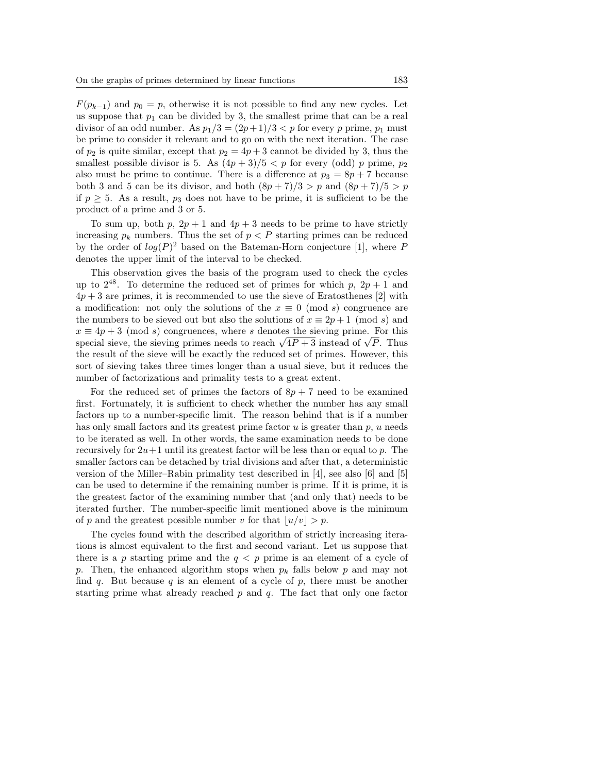$F(p_{k-1})$  and  $p_0 = p$ , otherwise it is not possible to find any new cycles. Let us suppose that  $p_1$  can be divided by 3, the smallest prime that can be a real divisor of an odd number. As  $p_1/3 = (2p+1)/3 < p$  for every p prime,  $p_1$  must be prime to consider it relevant and to go on with the next iteration. The case of  $p_2$  is quite similar, except that  $p_2 = 4p + 3$  cannot be divided by 3, thus the smallest possible divisor is 5. As  $(4p+3)/5 < p$  for every (odd) p prime,  $p_2$ also must be prime to continue. There is a difference at  $p_3 = 8p + 7$  because both 3 and 5 can be its divisor, and both  $(8p+7)/3 > p$  and  $(8p+7)/5 > p$ if  $p \geq 5$ . As a result,  $p_3$  does not have to be prime, it is sufficient to be the product of a prime and 3 or 5.

To sum up, both p,  $2p + 1$  and  $4p + 3$  needs to be prime to have strictly increasing  $p_k$  numbers. Thus the set of  $p \leq P$  starting primes can be reduced by the order of  $log(P)^2$  based on the Bateman-Horn conjecture [1], where P denotes the upper limit of the interval to be checked.

This observation gives the basis of the program used to check the cycles up to  $2^{48}$ . To determine the reduced set of primes for which p,  $2p + 1$  and  $4p + 3$  are primes, it is recommended to use the sieve of Eratosthenes [2] with a modification: not only the solutions of the  $x \equiv 0 \pmod{s}$  congruence are the numbers to be sieved out but also the solutions of  $x \equiv 2p+1 \pmod{s}$  and  $x \equiv 4p + 3 \pmod{s}$  congruences, where s denotes the sieving prime. For this special sieve, the sieving primes needs to reach  $\sqrt{4P+3}$  instead of  $\sqrt{P}$ . Thus the result of the sieve will be exactly the reduced set of primes. However, this sort of sieving takes three times longer than a usual sieve, but it reduces the number of factorizations and primality tests to a great extent.

For the reduced set of primes the factors of  $8p + 7$  need to be examined first. Fortunately, it is sufficient to check whether the number has any small factors up to a number-specific limit. The reason behind that is if a number has only small factors and its greatest prime factor  $u$  is greater than  $p, u$  needs to be iterated as well. In other words, the same examination needs to be done recursively for  $2u+1$  until its greatest factor will be less than or equal to p. The smaller factors can be detached by trial divisions and after that, a deterministic version of the Miller–Rabin primality test described in [4], see also [6] and [5] can be used to determine if the remaining number is prime. If it is prime, it is the greatest factor of the examining number that (and only that) needs to be iterated further. The number-specific limit mentioned above is the minimum of p and the greatest possible number v for that  $|u/v| > p$ .

The cycles found with the described algorithm of strictly increasing iterations is almost equivalent to the first and second variant. Let us suppose that there is a p starting prime and the  $q < p$  prime is an element of a cycle of p. Then, the enhanced algorithm stops when  $p_k$  falls below p and may not find q. But because q is an element of a cycle of  $p$ , there must be another starting prime what already reached  $p$  and  $q$ . The fact that only one factor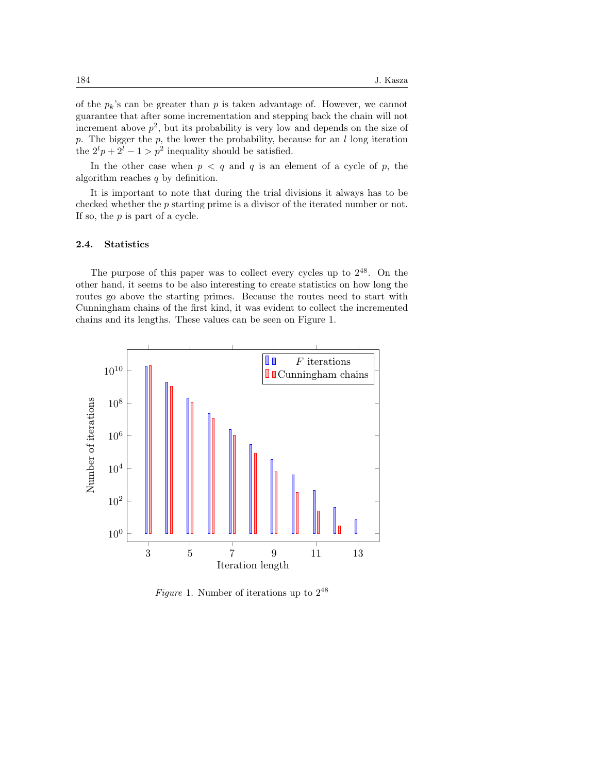of the  $p_k$ 's can be greater than p is taken advantage of. However, we cannot guarantee that after some incrementation and stepping back the chain will not increment above  $p^2$ , but its probability is very low and depends on the size of p. The bigger the  $p$ , the lower the probability, because for an  $l$  long iteration the  $2^l p + 2^l - 1 > p^2$  inequality should be satisfied.

In the other case when  $p \leq q$  and q is an element of a cycle of p, the algorithm reaches  $q$  by definition.

It is important to note that during the trial divisions it always has to be checked whether the p starting prime is a divisor of the iterated number or not. If so, the p is part of a cycle.

#### 2.4. Statistics

The purpose of this paper was to collect every cycles up to  $2^{48}$ . On the other hand, it seems to be also interesting to create statistics on how long the routes go above the starting primes. Because the routes need to start with Cunningham chains of the first kind, it was evident to collect the incremented chains and its lengths. These values can be seen on Figure 1.



Figure 1. Number of iterations up to  $2^{48}$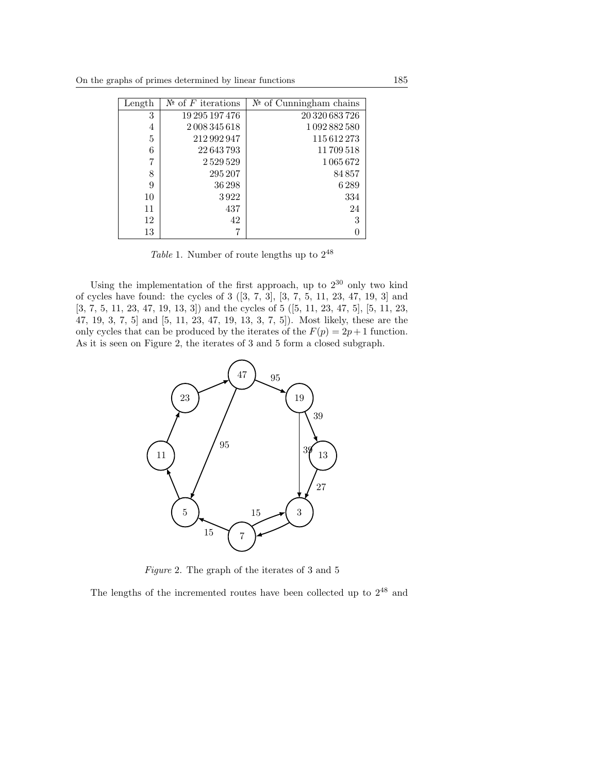| Length | $\mathbb{N}^{\mathsf{e}}$ of F iterations | $\mathbb{N}^{\mathsf{d}}$ of Cunningham chains |
|--------|-------------------------------------------|------------------------------------------------|
| 3      | 19 295 197 476                            | 20 320 683 726                                 |
| 4      | 2008345618                                | 1092882580                                     |
| 5      | 212 992 947                               | 115612273                                      |
| 6      | 22643793                                  | 11709518                                       |
| 7      | 2529529                                   | 1065672                                        |
| 8      | 295 207                                   | 84857                                          |
| 9      | 36 298                                    | 6289                                           |
| 10     | 3922                                      | 334                                            |
| 11     | 437                                       | 24                                             |
| 12     | 42                                        | 3                                              |
| 13     | 7                                         | $\Omega$                                       |

Table 1. Number of route lengths up to  $2^{48}$ 

Using the implementation of the first approach, up to  $2^{30}$  only two kind of cycles have found: the cycles of 3 ([3, 7, 3], [3, 7, 5, 11, 23, 47, 19, 3] and [3, 7, 5, 11, 23, 47, 19, 13, 3]) and the cycles of 5 ([5, 11, 23, 47, 5], [5, 11, 23, 47, 19, 3, 7, 5] and [5, 11, 23, 47, 19, 13, 3, 7, 5]). Most likely, these are the only cycles that can be produced by the iterates of the  $F(p) = 2p + 1$  function. As it is seen on Figure 2, the iterates of 3 and 5 form a closed subgraph.



Figure 2. The graph of the iterates of 3 and 5

The lengths of the incremented routes have been collected up to 2<sup>48</sup> and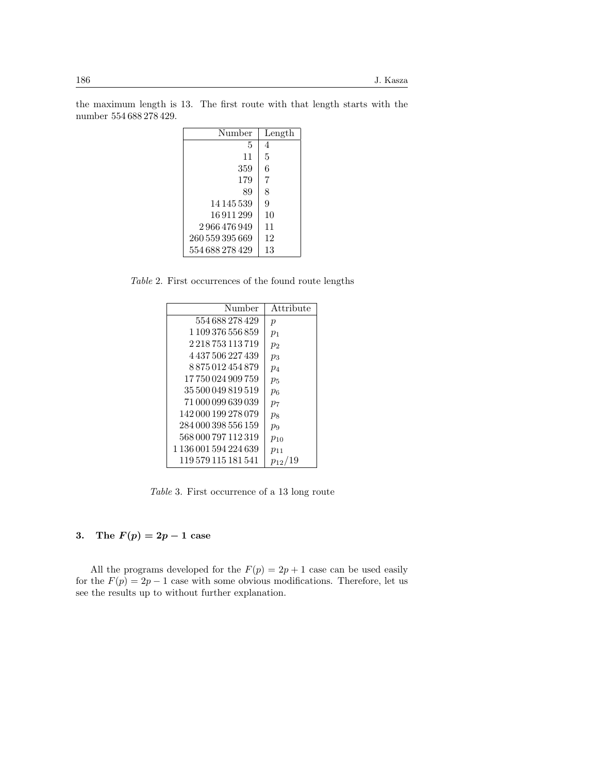| Number          | Length |
|-----------------|--------|
| 5               | 4      |
| 11              | 5      |
| 359             | 6      |
| 179             | 7      |
| 89              | 8      |
| 14 145 539      | 9      |
| 16911299        | 10     |
| 2 966 476 949   | 11     |
| 260 559 395 669 | 12     |
| 554 688 278 429 | 13     |
|                 |        |

the maximum length is 13. The first route with that length starts with the number 554 688 278 429.

Table 2. First occurrences of the found route lengths

| Number                    | Attribute        |
|---------------------------|------------------|
| 554 688 278 429           | $\boldsymbol{p}$ |
| 1 109 376 556 859         | $p_1$            |
| 2 2 1 8 7 5 3 1 1 3 7 1 9 | $p_2$            |
| 4 437 506 227 439         | $p_3$            |
| 8875012454879             | $p_4$            |
| 17 750 024 909 759        | $p_5$            |
| 35 500 049 819 519        | $p_6$            |
| 71 000 099 639 039        | p <sub>7</sub>   |
| 142 000 199 278 079       | $p_8$            |
| 284 000 398 556 159       | $p_{9}$          |
| 568 000 797 112 319       | $p_{10}$         |
| 1 136 001 594 224 639     | $p_{11}$         |
| 119 579 115 181 541       | $p_{12}$         |

Table 3. First occurrence of a 13 long route

## 3. The  $F(p) = 2p - 1$  case

All the programs developed for the  $F(p) = 2p + 1$  case can be used easily for the  $F(p) = 2p - 1$  case with some obvious modifications. Therefore, let us see the results up to without further explanation.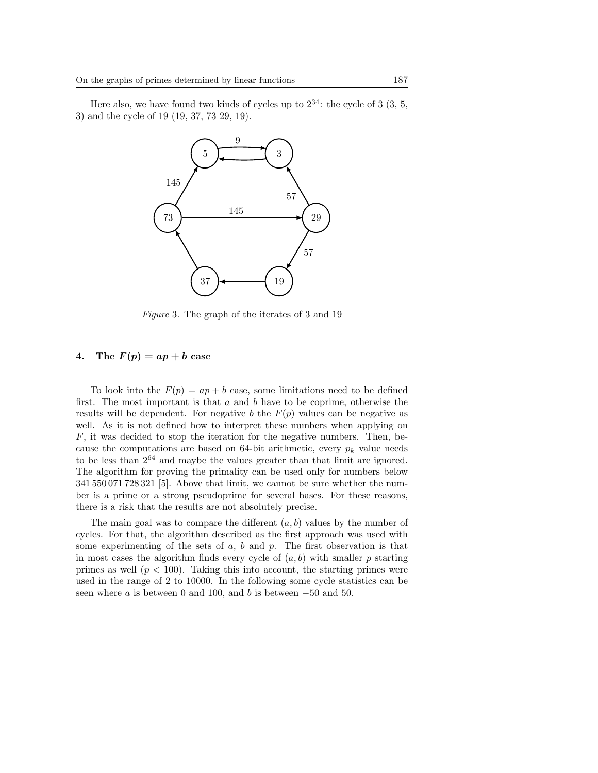Here also, we have found two kinds of cycles up to  $2^{34}$ : the cycle of 3 (3, 5, 3) and the cycle of 19 (19, 37, 73 29, 19).



Figure 3. The graph of the iterates of 3 and 19

#### 4. The  $F(p) = ap + b$  case

To look into the  $F(p) = ap + b$  case, some limitations need to be defined first. The most important is that  $a$  and  $b$  have to be coprime, otherwise the results will be dependent. For negative b the  $F(p)$  values can be negative as well. As it is not defined how to interpret these numbers when applying on  $F$ , it was decided to stop the iteration for the negative numbers. Then, because the computations are based on 64-bit arithmetic, every  $p_k$  value needs to be less than  $2^{64}$  and maybe the values greater than that limit are ignored. The algorithm for proving the primality can be used only for numbers below 341 550 071 728 321 [5]. Above that limit, we cannot be sure whether the number is a prime or a strong pseudoprime for several bases. For these reasons, there is a risk that the results are not absolutely precise.

The main goal was to compare the different  $(a, b)$  values by the number of cycles. For that, the algorithm described as the first approach was used with some experimenting of the sets of  $a, b$  and  $p$ . The first observation is that in most cases the algorithm finds every cycle of  $(a, b)$  with smaller p starting primes as well  $(p < 100)$ . Taking this into account, the starting primes were used in the range of 2 to 10000. In the following some cycle statistics can be seen where  $a$  is between 0 and 100, and  $b$  is between  $-50$  and 50.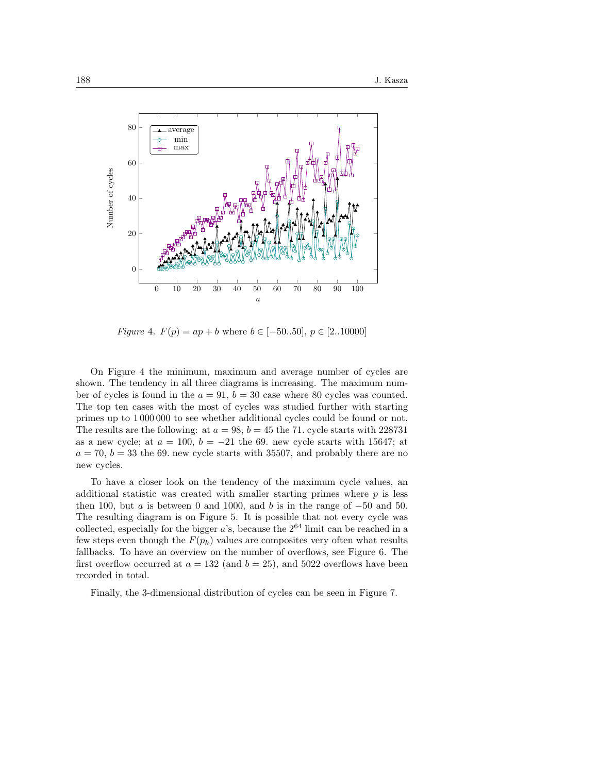

Figure 4.  $F(p) = ap + b$  where  $b \in [-50..50], p \in [2..10000]$ 

On Figure 4 the minimum, maximum and average number of cycles are shown. The tendency in all three diagrams is increasing. The maximum number of cycles is found in the  $a = 91$ ,  $b = 30$  case where 80 cycles was counted. The top ten cases with the most of cycles was studied further with starting primes up to 1 000 000 to see whether additional cycles could be found or not. The results are the following: at  $a = 98$ ,  $b = 45$  the 71. cycle starts with 228731 as a new cycle; at  $a = 100$ ,  $b = -21$  the 69. new cycle starts with 15647; at  $a = 70, b = 33$  the 69. new cycle starts with 35507, and probably there are no new cycles.

To have a closer look on the tendency of the maximum cycle values, an additional statistic was created with smaller starting primes where  $p$  is less then 100, but a is between 0 and 1000, and b is in the range of  $-50$  and 50. The resulting diagram is on Figure 5. It is possible that not every cycle was collected, especially for the bigger  $a$ 's, because the  $2^{64}$  limit can be reached in a few steps even though the  $F(p_k)$  values are composites very often what results fallbacks. To have an overview on the number of overflows, see Figure 6. The first overflow occurred at  $a = 132$  (and  $b = 25$ ), and 5022 overflows have been recorded in total.

Finally, the 3-dimensional distribution of cycles can be seen in Figure 7.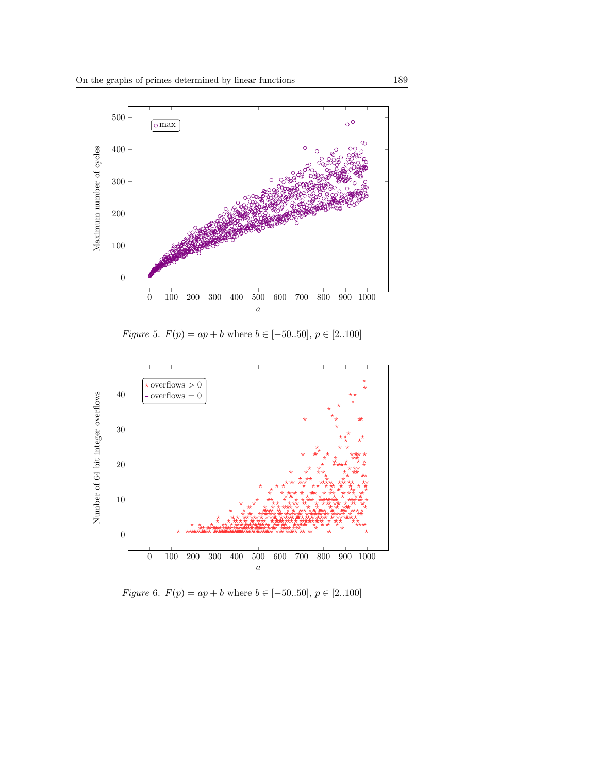

*Figure* 5.  $F(p) = ap + b$  where  $b \in [-50..50]$ ,  $p \in [2..100]$ 



*Figure* 6.  $F(p) = ap + b$  where  $b \in [-50..50]$ ,  $p \in [2..100]$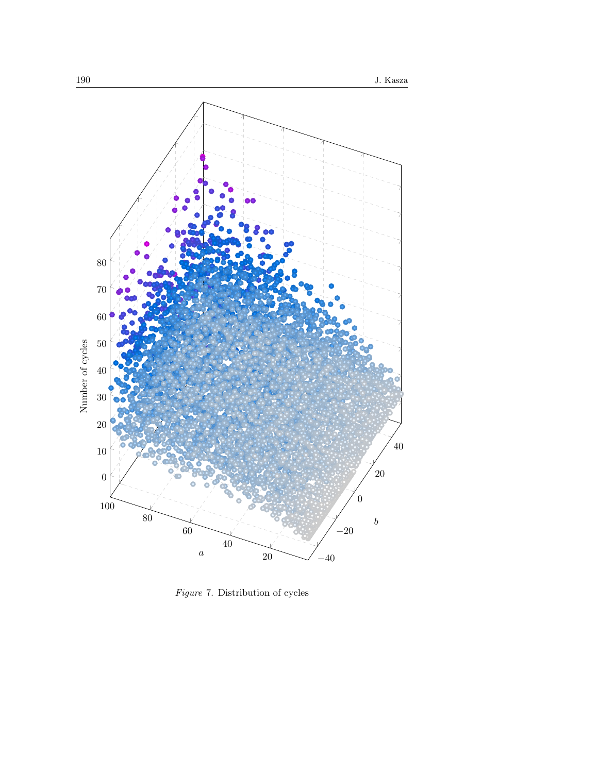

Figure 7. Distribution of cycles Figure 7. Distribution of cycles